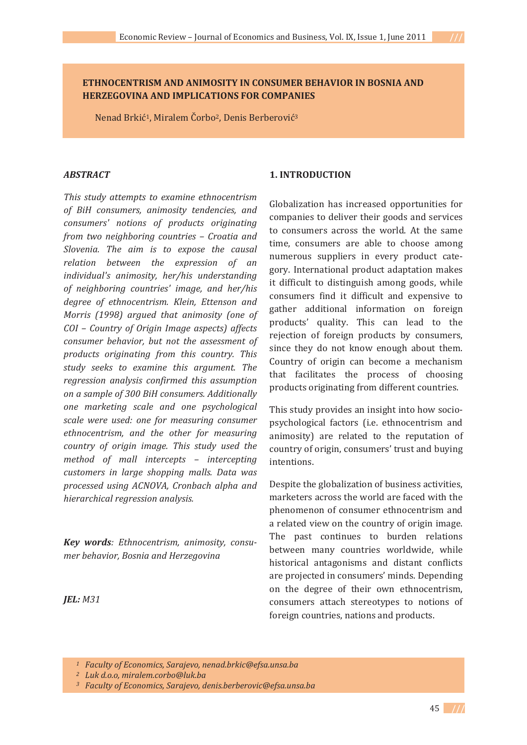## **ETHNOCENTRISM AND ANIMOSITY IN CONSUMER BEHAVIOR IN BOSNIA AND HERZEGOVINA AND IMPLICATIONS FOR COMPANIES**

Nenad Brkić<sup>1</sup>, Miralem Čorbo<sup>2</sup>, Denis Berberović<sup>3</sup>

### *ABSTRACT*

*This study attempts to examine ethnocentrism of BiH consumers, animosity tendencies, and consumers' notions of products originating from two neighboring countries – Croatia and Slovenia. The aim is to expose the causal relation between the expression of an individual's animosity, her/his understanding of neighboring countries' image, and her/his degree of ethnocentrism. Klein, Ettenson and Morris (1998) argued that animosity (one of COI – Country of Origin Image aspects) affects consumer behavior, but not the assessment of products originating from this country. This study seeks to examine this argument. The regression analysis confirmed this assumption on a sample of 300 BiH consumers. Additionally one marketing scale and one psychological scale were used: one for measuring consumer ethnocentrism, and the other for measuring country of origin image. This study used the method of mall intercepts – intercepting customers in large shopping malls. Data was processed using ACNOVA, Cronbach alpha and hierarchical regression analysis.*

*Key words: Ethnocentrism, animosity, consumer behavior, Bosnia and Herzegovina*

### *JEL: M31*

### **1. INTRODUCTION**

Globalization has increased opportunities for companies to deliver their goods and services to consumers across the world. At the same time, consumers are able to choose among numerous suppliers in every product category. International product adaptation makes it difficult to distinguish among goods, while consumers find it difficult and expensive to gather additional information on foreign products' quality. This can lead to the rejection of foreign products by consumers, since they do not know enough about them. Country of origin can become a mechanism that facilitates the process of choosing products originating from different countries.

This study provides an insight into how sociopsychological factors (i.e. ethnocentrism and animosity) are related to the reputation of country of origin, consumers' trust and buying intentions.

Despite the globalization of business activities, marketers across the world are faced with the phenomenon of consumer ethnocentrism and a related view on the country of origin image. The past continues to burden relations between many countries worldwide, while historical antagonisms and distant conflicts are projected in consumers' minds. Depending on the degree of their own ethnocentrism, consumers attach stereotypes to notions of foreign countries, nations and products.

*<sup>1</sup>Faculty of Economics, Sarajevo, nenad.brkic@efsa.unsa.ba*

*<sup>2</sup>Luk d.o.o, miralem.corbo@luk.ba*

*<sup>3</sup>Faculty of Economics, Sarajevo, denis.berberovic@efsa.unsa.ba*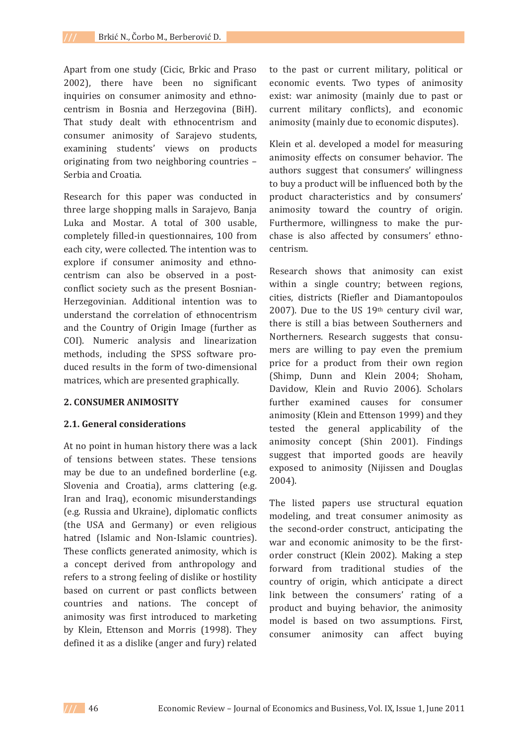Apart from one study (Cicic, Brkic and Praso 2002), there have been no significant inquiries on consumer animosity and ethnocentrism in Bosnia and Herzegovina (BiH). That study dealt with ethnocentrism and consumer animosity of Sarajevo students, examining students' views on products originating from two neighboring countries -Serbia and Croatia.

Research for this paper was conducted in three large shopping malls in Sarajevo, Banja Luka and Mostar. A total of 300 usable, completely filled-in questionnaires, 100 from each city, were collected. The intention was to explore if consumer animosity and ethnocentrism can also be observed in a postconflict society such as the present Bosnian-Herzegovinian. Additional intention was to understand the correlation of ethnocentrism and the Country of Origin Image (further as COI). Numeric analysis and linearization methods, including the SPSS software produced results in the form of two-dimensional matrices, which are presented graphically.

#### **2. CONSUMER ANIMOSITY**

#### **2.1. General considerations**

At no point in human history there was a lack of tensions between states. These tensions may be due to an undefined borderline (e.g. Slovenia and Croatia), arms clattering (e.g. Iran and Iraq), economic misunderstandings (e.g. Russia and Ukraine), diplomatic conflicts (the USA and Germany) or even religious hatred (Islamic and Non-Islamic countries). These conflicts generated animosity, which is a concept derived from anthropology and refers to a strong feeling of dislike or hostility based on current or past conflicts between countries and nations. The concept of animosity was first introduced to marketing by Klein, Ettenson and Morris (1998). They defined it as a dislike (anger and fury) related

to the past or current military, political or economic events. Two types of animosity exist: war animosity (mainly due to past or current military conflicts), and economic animosity (mainly due to economic disputes).

Klein et al. developed a model for measuring animosity effects on consumer behavior. The authors suggest that consumers' willingness to buy a product will be influenced both by the product characteristics and by consumers' animosity toward the country of origin. Furthermore, willingness to make the purchase is also affected by consumers' ethnocentrism

Research shows that animosity can exist within a single country; between regions, cities, districts (Riefler and Diamantopoulos 2007). Due to the US  $19<sup>th</sup>$  century civil war, there is still a bias between Southerners and Northerners. Research suggests that consumers are willing to pay even the premium price for a product from their own region (Shimp, Dunn and Klein 2004; Shoham, Davidow, Klein and Ruvio 2006). Scholars further examined causes for consumer animosity (Klein and Ettenson 1999) and they tested the general applicability of the animosity concept (Shin 2001). Findings suggest that imported goods are heavily exposed to animosity (Nijissen and Douglas  $2004$ ).

The listed papers use structural equation modeling, and treat consumer animosity as the second-order construct, anticipating the war and economic animosity to be the firstorder construct (Klein 2002). Making a step forward from traditional studies of the country of origin, which anticipate a direct link between the consumers' rating of a product and buying behavior, the animosity model is based on two assumptions. First, consumer animosity can affect buying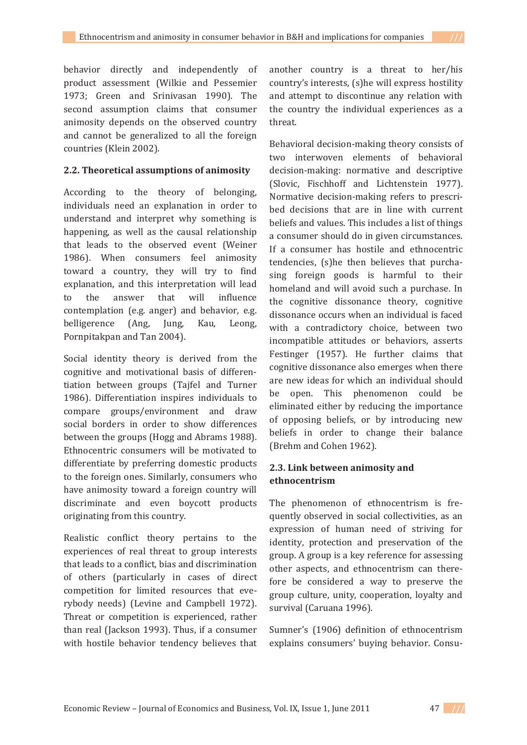## **2.2. Theoretical assumptions of animosity**

According to the theory of belonging. individuals need an explanation in order to understand and interpret why something is happening, as well as the causal relationship that leads to the observed event (Weiner 1986). When consumers feel animosity toward a country, they will try to find explanation, and this interpretation will lead to the answer that will influence contemplation (e.g. anger) and behavior, e.g. belligerence (Ang, Jung, Kau, Leong, Pornpitakpan and Tan 2004).

Social identity theory is derived from the cognitive and motivational basis of differentiation between groups (Tajfel and Turner 1986). Differentiation inspires individuals to compare groups/environment and draw social borders in order to show differences between the groups (Hogg and Abrams 1988). Ethnocentric consumers will be motivated to differentiate by preferring domestic products to the foreign ones. Similarly, consumers who have animosity toward a foreign country will discriminate and even boycott products originating from this country.

Realistic conflict theory pertains to the experiences of real threat to group interests that leads to a conflict, bias and discrimination of others (particularly in cases of direct competition for limited resources that everybody needs) (Levine and Campbell 1972). Threat or competition is experienced, rather than real (Jackson 1993). Thus, if a consumer with hostile behavior tendency believes that

another country is a threat to her/his country's interests, (s) he will express hostility and attempt to discontinue any relation with the country the individual experiences as a threat.

Behavioral decision-making theory consists of two interwoven elements of behavioral decision-making: normative and descriptive (Slovic, Fischhoff and Lichtenstein 1977). Normative decision-making refers to prescribed decisions that are in line with current beliefs and values. This includes a list of things a consumer should do in given circumstances. If a consumer has hostile and ethnocentric tendencies, (s) he then believes that purchasing foreign goods is harmful to their homeland and will avoid such a purchase. In the cognitive dissonance theory, cognitive dissonance occurs when an individual is faced with a contradictory choice, between two incompatible attitudes or behaviors, asserts Festinger (1957). He further claims that cognitive dissonance also emerges when there are new ideas for which an individual should be open. This phenomenon could be eliminated either by reducing the importance of opposing beliefs, or by introducing new beliefs in order to change their balance (Brehm and Cohen 1962).

# **2.3. Link between animosity and ethnocentrism**

The phenomenon of ethnocentrism is frequently observed in social collectivities, as an expression of human need of striving for identity, protection and preservation of the group. A group is a key reference for assessing other aspects, and ethnocentrism can therefore be considered a way to preserve the group culture, unity, cooperation, loyalty and survival (Caruana 1996).

Sumner's (1906) definition of ethnocentrism explains consumers' buying behavior. Consu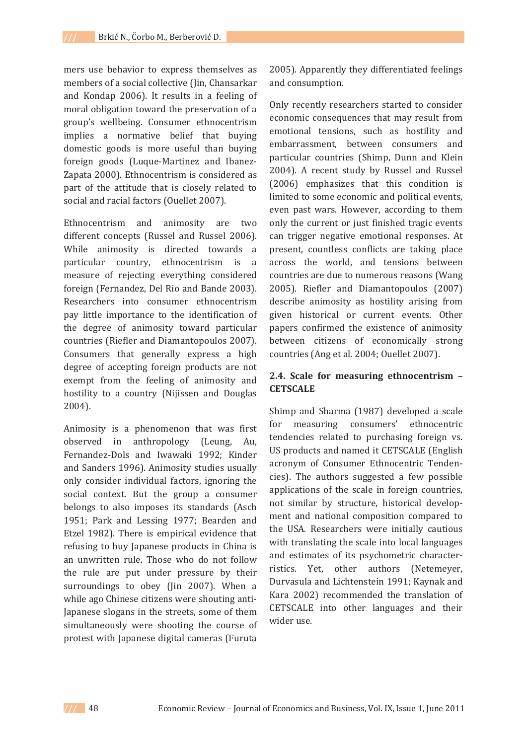mers use behavior to express themselves as members of a social collective (Jin, Chansarkar and Kondap 2006). It results in a feeling of moral obligation toward the preservation of a group's wellbeing. Consumer ethnocentrism implies a normative belief that buying domestic goods is more useful than buying foreign goods (Luque-Martinez and Ibanez-Zapata 2000). Ethnocentrism is considered as part of the attitude that is closely related to social and racial factors (Ouellet 2007).

Ethnocentrism and animosity are two different concepts (Russel and Russel 2006). While animosity is directed towards a particular country, ethnocentrism is a measure of rejecting everything considered foreign (Fernandez, Del Rio and Bande 2003). Researchers into consumer ethnocentrism pay little importance to the identification of the degree of animosity toward particular countries (Riefler and Diamantopoulos 2007). Consumers that generally express a high degree of accepting foreign products are not exempt from the feeling of animosity and hostility to a country (Nijissen and Douglas  $2004$ ).

Animosity is a phenomenon that was first observed in anthropology (Leung, Au, Fernandez-Dols and Iwawaki 1992: Kinder and Sanders 1996). Animosity studies usually only consider individual factors, ignoring the social context. But the group a consumer belongs to also imposes its standards (Asch 1951; Park and Lessing 1977; Bearden and Etzel 1982). There is empirical evidence that refusing to buy Japanese products in China is an unwritten rule. Those who do not follow the rule are put under pressure by their surroundings to obey (Jin 2007). When a while ago Chinese citizens were shouting anti-Japanese slogans in the streets, some of them simultaneously were shooting the course of protest with Japanese digital cameras (Furuta

2005). Apparently they differentiated feelings and consumption.

Only recently researchers started to consider economic consequences that may result from emotional tensions, such as hostility and embarrassment, between consumers and particular countries (Shimp, Dunn and Klein 2004). A recent study by Russel and Russel (2006) emphasizes that this condition is limited to some economic and political events, even past wars. However, according to them only the current or just finished tragic events can trigger negative emotional responses. At present, countless conflicts are taking place across the world, and tensions between countries are due to numerous reasons (Wang 2005). Riefler and Diamantopoulos (2007) describe animosity as hostility arising from given historical or current events. Other papers confirmed the existence of animosity between citizens of economically strong countries (Ang et al. 2004; Ouellet 2007).

## **2.4. Scale for measuring ethnocentrism – CETSCALE**

Shimp and Sharma (1987) developed a scale for measuring consumers' ethnocentric tendencies related to purchasing foreign vs. US products and named it CETSCALE (English acronym of Consumer Ethnocentric Tendencies). The authors suggested a few possible applications of the scale in foreign countries, not similar by structure, historical development and national composition compared to the USA. Researchers were initially cautious with translating the scale into local languages and estimates of its psychometric characterristics. Yet, other authors (Netemeyer, Durvasula and Lichtenstein 1991; Kaynak and Kara 2002) recommended the translation of CETSCALE into other languages and their wider use.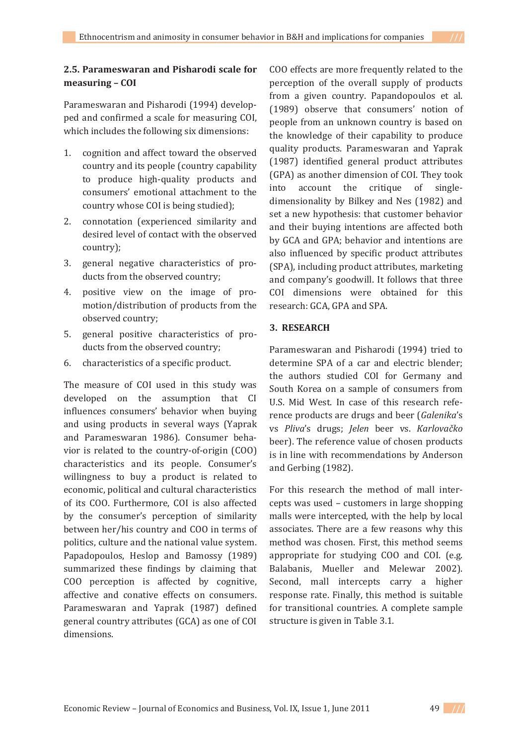# **2.5. Parameswaran and Pisharodi scale for measuring – COI**

Parameswaran and Pisharodi (1994) developped and confirmed a scale for measuring COI, which includes the following six dimensions:

- 1. cognition and affect toward the observed country and its people (country capability) to produce high-quality products and consumers' emotional attachment to the country whose COI is being studied);
- 2. connotation (experienced similarity and desired level of contact with the observed country);
- 3. general negative characteristics of products from the observed country;
- 4. positive view on the image of promotion/distribution of products from the observed country;
- 5. general positive characteristics of products from the observed country:
- 6. characteristics of a specific product.

The measure of COI used in this study was developed on the assumption that CI influences consumers' behavior when buying and using products in several ways (Yaprak and Parameswaran 1986). Consumer behavior is related to the country-of-origin (COO) characteristics and its people. Consumer's willingness to buy a product is related to economic, political and cultural characteristics of its COO. Furthermore, COI is also affected by the consumer's perception of similarity between her/his country and COO in terms of politics, culture and the national value system. Papadopoulos, Heslop and Bamossy (1989) summarized these findings by claiming that COO perception is affected by cognitive, affective and conative effects on consumers. Parameswaran and Yaprak (1987) defined general country attributes (GCA) as one of COI dimensions.

COO effects are more frequently related to the perception of the overall supply of products from a given country. Papandopoulos et al. (1989) observe that consumers' notion of people from an unknown country is based on the knowledge of their capability to produce quality products. Parameswaran and Yaprak (1987) identified general product attributes (GPA) as another dimension of COI. They took into account the critique of singledimensionality by Bilkey and Nes (1982) and set a new hypothesis: that customer behavior and their buying intentions are affected both by GCA and GPA; behavior and intentions are also influenced by specific product attributes (SPA), including product attributes, marketing and company's goodwill. It follows that three COI dimensions were obtained for this research: GCA, GPA and SPA.

# **3.RESEARCH**

Parameswaran and Pisharodi (1994) tried to determine SPA of a car and electric blender; the authors studied COI for Germany and South Korea on a sample of consumers from U.S. Mid West. In case of this research reference products are drugs and beer (Galenika's *Pliva*ǯ Ǣ *Jelen* Ǥ *Karlova«ko* beer). The reference value of chosen products is in line with recommendations by Anderson and Gerbing (1982).

For this research the method of mall intercepts was used - customers in large shopping malls were intercepted, with the help by local associates. There are a few reasons why this method was chosen. First, this method seems appropriate for studying COO and COI. (e.g. Balabanis, Mueller and Melewar 2002). Second, mall intercepts carry a higher response rate. Finally, this method is suitable for transitional countries. A complete sample structure is given in Table 3.1.

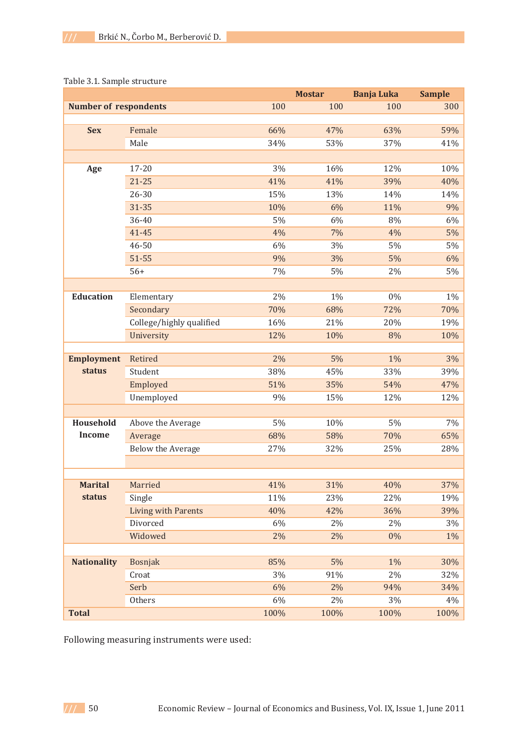|                              |                            |       | <b>Mostar</b> | <b>Banja Luka</b> | <b>Sample</b> |
|------------------------------|----------------------------|-------|---------------|-------------------|---------------|
| <b>Number of respondents</b> |                            | 100   | 100           | 100               | 300           |
|                              |                            |       |               |                   |               |
| <b>Sex</b>                   | Female                     | 66%   | 47%           | 63%               | 59%           |
|                              | Male                       | 34%   | 53%           | 37%               | 41%           |
|                              |                            |       |               |                   |               |
| Age                          | 17-20                      | 3%    | 16%           | 12%               | 10%           |
|                              | $21 - 25$                  | 41%   | 41%           | 39%               | 40%           |
|                              | 26-30                      | 15%   | 13%           | 14%               | 14%           |
|                              | $31 - 35$                  | 10%   | 6%            | 11%               | 9%            |
|                              | 36-40                      | 5%    | 6%            | 8%                | 6%            |
|                              | 41-45                      | 4%    | 7%            | 4%                | 5%            |
|                              | 46-50                      | 6%    | 3%            | 5%                | 5%            |
|                              | $51 - 55$                  | 9%    | 3%            | 5%                | 6%            |
|                              | $56+$                      | 7%    | 5%            | 2%                | 5%            |
|                              |                            |       |               |                   |               |
| <b>Education</b>             | Elementary                 | 2%    | 1%            | $0\%$             | $1\%$         |
|                              | Secondary                  | 70%   | 68%           | 72%               | 70%           |
|                              | College/highly qualified   | 16%   | 21%           | 20%               | 19%           |
|                              | University                 | 12%   | 10%           | 8%                | 10%           |
|                              |                            |       |               |                   |               |
| <b>Employment</b>            | Retired                    | 2%    | 5%            | 1%                | 3%            |
| status                       | Student                    | 38%   | 45%           | 33%               | 39%           |
|                              | Employed                   | 51%   | 35%           | 54%               | 47%           |
|                              | Unemployed                 | 9%    | 15%           | 12%               | 12%           |
|                              |                            |       |               |                   |               |
| Household                    | Above the Average          | 5%    | 10%           | 5%                | 7%            |
| <b>Income</b>                | Average                    | 68%   | 58%           | 70%               | 65%           |
|                              | Below the Average          | 27%   | 32%           | 25%               | 28%           |
|                              |                            |       |               |                   |               |
|                              |                            |       |               |                   |               |
| <b>Marital</b>               | Married                    | 41%   | 31%           | 40%               | 37%           |
| status                       | Single                     | 11%   | 23%           | 22%               | 19%           |
|                              | <b>Living with Parents</b> | 40%   | 42%           | 36%               | 39%           |
|                              | Divorced                   | $6\%$ | 2%            | 2%                | 3%            |
|                              | Widowed                    | 2%    | 2%            | 0%                | $1\%$         |
|                              |                            |       |               |                   |               |
| <b>Nationality</b>           | <b>Bosnjak</b>             | 85%   | 5%            | 1%                | 30%           |
|                              | Croat                      | 3%    | 91%           | 2%                | 32%           |
|                              | Serb                       | 6%    | 2%            | 94%               | 34%           |
|                              | Others                     | $6\%$ | $2\%$         | 3%                | 4%            |
| <b>Total</b>                 |                            | 100%  | 100%          | 100%              | 100%          |

### Table 3.1. Sample structure

Following measuring instruments were used: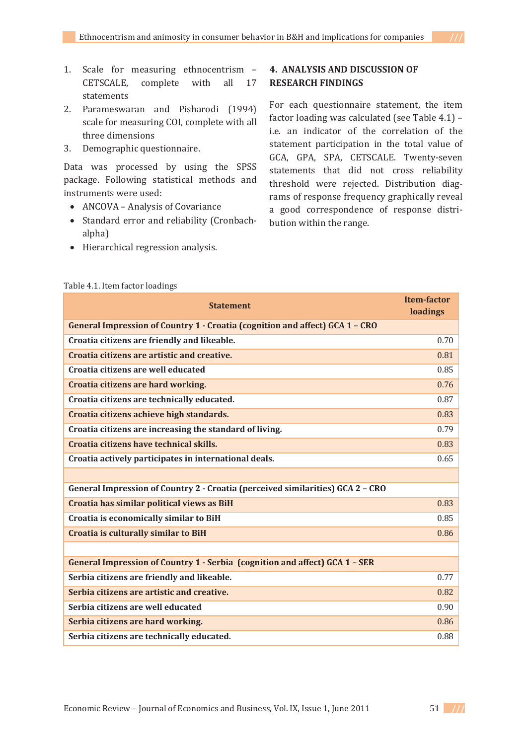- 1. Scale for measuring ethnocentrism -CETSCALE, complete with all 17 statements
- 2. Parameswaran and Pisharodi (1994) scale for measuring COI, complete with all three dimensions
- 3. Demographic questionnaire.

Data was processed by using the SPSS package. Following statistical methods and instruments were used:

- ANCOVA Analysis of Covariance
- Standard error and reliability (Cronbachalpha)
- Hierarchical regression analysis.

# **4.ANALYSIS AND DISCUSSION OF RESEARCH FINDINGS**

For each questionnaire statement, the item factor loading was calculated (see Table 4.1) i.e. an indicator of the correlation of the statement participation in the total value of GCA, GPA, SPA, CETSCALE. Twenty-seven statements that did not cross reliability threshold were rejected. Distribution diagrams of response frequency graphically reveal a good correspondence of response distribution within the range.

|                                                                                | <b>Item-factor</b> |  |  |  |  |  |
|--------------------------------------------------------------------------------|--------------------|--|--|--|--|--|
| <b>Statement</b>                                                               |                    |  |  |  |  |  |
| General Impression of Country 1 - Croatia (cognition and affect) GCA 1 - CRO   |                    |  |  |  |  |  |
| Croatia citizens are friendly and likeable.                                    | 0.70               |  |  |  |  |  |
| Croatia citizens are artistic and creative.                                    | 0.81               |  |  |  |  |  |
| Croatia citizens are well educated                                             | 0.85               |  |  |  |  |  |
| Croatia citizens are hard working.                                             | 0.76               |  |  |  |  |  |
| Croatia citizens are technically educated.                                     | 0.87               |  |  |  |  |  |
| Croatia citizens achieve high standards.                                       | 0.83               |  |  |  |  |  |
| Croatia citizens are increasing the standard of living.                        | 0.79               |  |  |  |  |  |
| Croatia citizens have technical skills.                                        | 0.83               |  |  |  |  |  |
| Croatia actively participates in international deals.                          | 0.65               |  |  |  |  |  |
|                                                                                |                    |  |  |  |  |  |
| General Impression of Country 2 - Croatia (perceived similarities) GCA 2 - CRO |                    |  |  |  |  |  |
| Croatia has similar political views as BiH                                     | 0.83               |  |  |  |  |  |
| Croatia is economically similar to BiH                                         | 0.85               |  |  |  |  |  |
| Croatia is culturally similar to BiH                                           | 0.86               |  |  |  |  |  |
|                                                                                |                    |  |  |  |  |  |
| General Impression of Country 1 - Serbia (cognition and affect) GCA 1 - SER    |                    |  |  |  |  |  |
| Serbia citizens are friendly and likeable.                                     | 0.77               |  |  |  |  |  |
| Serbia citizens are artistic and creative.                                     | 0.82               |  |  |  |  |  |
| Serbia citizens are well educated                                              | 0.90               |  |  |  |  |  |
| Serbia citizens are hard working.                                              | 0.86               |  |  |  |  |  |
| Serbia citizens are technically educated.                                      | 0.88               |  |  |  |  |  |

#### Table 4.1. Item factor loadings

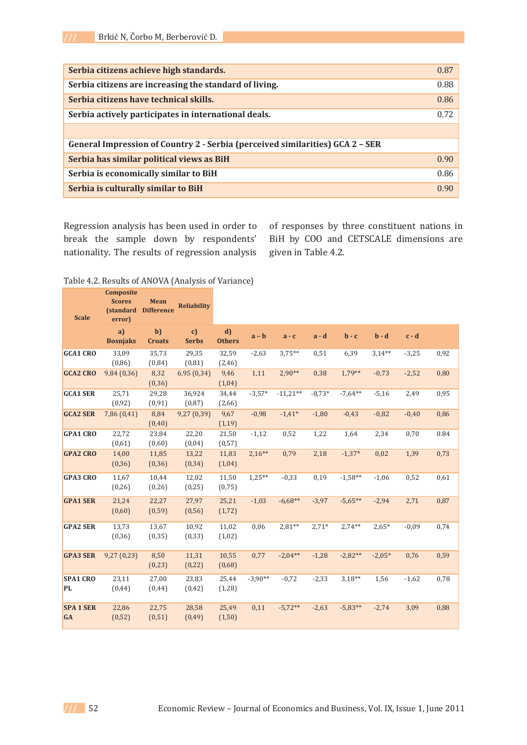| Serbia citizens achieve high standards.                                       | 0.87              |
|-------------------------------------------------------------------------------|-------------------|
| Serbia citizens are increasing the standard of living.                        | 0.88              |
| Serbia citizens have technical skills.                                        | 0.86              |
| Serbia actively participates in international deals.                          | 0.72              |
|                                                                               |                   |
| General Impression of Country 2 - Serbia (perceived similarities) GCA 2 - SER |                   |
| Serbia has similar political views as BiH                                     | 0.90 <sub>1</sub> |
| Serbia is economically similar to BiH                                         | 0.86              |
| Serbia is culturally similar to BiH                                           | 0.90              |

Regression analysis has been used in order to break the sample down by respondents' nationality. The results of regression analysis of responses by three constituent nations in BiH by COO and CETSCALE dimensions are given in Table 4.2.

### Table 4.2. Results of ANOVA (Analysis of Variance)

| <b>Scale</b>                  | Composite<br><b>Scores</b><br><b>(standard</b><br>error) | <b>Mean</b><br><b>Difference</b> | <b>Reliability</b> |                     |           |            |          |            |          |         |      |
|-------------------------------|----------------------------------------------------------|----------------------------------|--------------------|---------------------|-----------|------------|----------|------------|----------|---------|------|
|                               | a)<br><b>Bosnjaks</b>                                    | $b$<br><b>Croats</b>             | c)<br><b>Serbs</b> | d)<br><b>Others</b> | $a - b$   | $a - c$    | $a - d$  | $b - c$    | $b - d$  | $c - d$ |      |
| <b>GCA1 CRO</b>               | 33,09<br>(0, 86)                                         | 35,73<br>(0, 84)                 | 29,35<br>(0, 81)   | 32,59<br>(2, 46)    | $-2,63$   | $3,75**$   | 0,51     | 6,39       | $3,14**$ | $-3,25$ | 0,92 |
| <b>GCA2 CRO</b>               | 9,84 (0,36)                                              | 8,32<br>(0, 36)                  | 6,95(0,34)         | 9,46<br>(1,04)      | 1,11      | $2,90**$   | 0,38     | $1,79**$   | $-0,73$  | $-2,52$ | 0,80 |
| <b>GCA1 SER</b>               | 25,71<br>(0, 92)                                         | 29,28<br>(0, 91)                 | 36,924<br>(0, 87)  | 34,44<br>(2,66)     | $-3,57*$  | $-11,21**$ | $-8,73*$ | $-7.64**$  | $-5,16$  | 2,49    | 0,95 |
| <b>GCA2 SER</b>               | 7,86 (0,41)                                              | 8.84<br>(0, 40)                  | 9,27(0,39)         | 9,67<br>(1,19)      | $-0,98$   | $-1.41*$   | $-1,80$  | $-0.43$    | $-0.82$  | $-0,40$ | 0,86 |
| <b>GPA1 CRO</b>               | 22,72<br>(0,61)                                          | 23,84<br>(0,60)                  | 22,20<br>(0,04)    | 21,50<br>(0,57)     | $-1,12$   | 0,52       | 1,22     | 1,64       | 2,34     | 0,70    | 0.84 |
| <b>GPA2 CRO</b>               | 14,00<br>(0, 36)                                         | 11,85<br>(0, 36)                 | 13,22<br>(0, 34)   | 11,83<br>(1,04)     | $2,16**$  | 0,79       | 2,18     | $-1,37*$   | 0,02     | 1,39    | 0,73 |
| <b>GPA3 CRO</b>               | 11,67<br>(0, 26)                                         | 10,44<br>(0, 26)                 | 12,02<br>(0, 25)   | 11,50<br>(0,75)     | $1,25**$  | $-0,33$    | 0,19     | $-1,58**$  | $-1,06$  | 0,52    | 0,61 |
| <b>GPA1 SER</b>               | 21,24<br>(0,60)                                          | 22,27<br>(0, 59)                 | 27,97<br>(0, 56)   | 25,21<br>(1,72)     | $-1,03$   | $-6,68**$  | $-3,97$  | $-5,65***$ | $-2,94$  | 2,71    | 0,87 |
| <b>GPA2 SER</b>               | 13,73<br>(0, 36)                                         | 13,67<br>(0, 35)                 | 10,92<br>(0, 33)   | 11,02<br>(1,02)     | 0,06      | $2.81**$   | $2,71*$  | $2.74***$  | $2,65*$  | $-0.09$ | 0,74 |
| <b>GPA3 SER</b>               | 9,27(0,23)                                               | 8,50<br>(0, 23)                  | 11,31<br>(0, 22)   | 10,55<br>(0,68)     | 0,77      | $-2,04**$  | $-1,28$  | $-2,82**$  | $-2.05*$ | 0,76    | 0,59 |
| <b>SPA1 CRO</b><br><b>PL</b>  | 23,11<br>(0, 44)                                         | 27,00<br>(0, 44)                 | 23,83<br>(0, 42)   | 25,44<br>(1, 28)    | $-3,90**$ | $-0,72$    | $-2,33$  | $3,18**$   | 1,56     | $-1,62$ | 0,78 |
| <b>SPA 1 SER</b><br><b>GA</b> | 22,86<br>(0, 52)                                         | 22,75<br>(0, 51)                 | 28,58<br>(0, 49)   | 25,49<br>(1,50)     | 0,11      | $-5,72**$  | $-2,63$  | $-5,83**$  | $-2,74$  | 3,09    | 0,88 |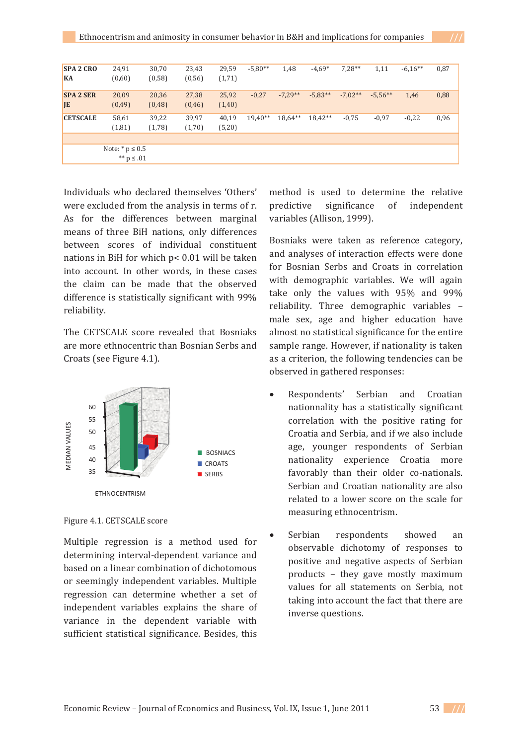| <b>SPA 2 CRO</b><br>KA        | 24,91<br>(0,60)                        | 30,70<br>(0, 58) | 23,43<br>(0, 56) | 29,59<br>(1,71)  | $-5,80**$ | 1,48      | $-4,69*$  | $7,28**$  | 1,11      | $-6.16**$ | 0,87 |
|-------------------------------|----------------------------------------|------------------|------------------|------------------|-----------|-----------|-----------|-----------|-----------|-----------|------|
| <b>SPA 2 SER</b><br><b>JE</b> | 20,09<br>(0, 49)                       | 20,36<br>(0, 48) | 27,38<br>(0, 46) | 25,92<br>(1, 40) | $-0,27$   | $-7.29**$ | $-5,83**$ | $-7,02**$ | $-5,56**$ | 1,46      | 0,88 |
| <b>CETSCALE</b>               | 58,61<br>(1, 81)                       | 39,22<br>(1,78)  | 39,97<br>(1,70)  | 40,19<br>(5,20)  | $19.40**$ | 18,64**   | 18,42**   | $-0.75$   | $-0.97$   | $-0,22$   | 0,96 |
|                               | Note: $*$ p $\leq 0.5$<br>** $p$ ≤ .01 |                  |                  |                  |           |           |           |           |           |           |      |

Individuals who declared themselves 'Others' were excluded from the analysis in terms of r. As for the differences between marginal means of three BiH nations, only differences between scores of individual constituent nations in BiH for which p< 0.01 will be taken into account. In other words, in these cases the claim can be made that the observed difference is statistically significant with 99% reliability.

The CETSCALE score revealed that Bosniaks are more ethnocentric than Bosnian Serbs and Croats (see Figure 4.1).



Figure 4.1. CETSCALE score

Multiple regression is a method used for determining interval-dependent variance and based on a linear combination of dichotomous or seemingly independent variables. Multiple regression can determine whether a set of independent variables explains the share of variance in the dependent variable with sufficient statistical significance. Besides, this

method is used to determine the relative predictive significance of independent variables (Allison, 1999).

Bosniaks were taken as reference category, and analyses of interaction effects were done for Bosnian Serbs and Croats in correlation with demographic variables. We will again take only the values with 95% and 99% reliability. Three demographic variables male sex, age and higher education have almost no statistical significance for the entire sample range. However, if nationality is taken as a criterion, the following tendencies can be observed in gathered responses:

- Respondents' Serbian and Croatian nationnality has a statistically significant correlation with the positive rating for Croatia and Serbia, and if we also include age, younger respondents of Serbian nationality experience Croatia more favorably than their older co-nationals. Serbian and Croatian nationality are also related to a lower score on the scale for measuring ethnocentrism.
- Serbian respondents showed an observable dichotomy of responses to positive and negative aspects of Serbian products - they gave mostly maximum values for all statements on Serbia, not taking into account the fact that there are inverse questions.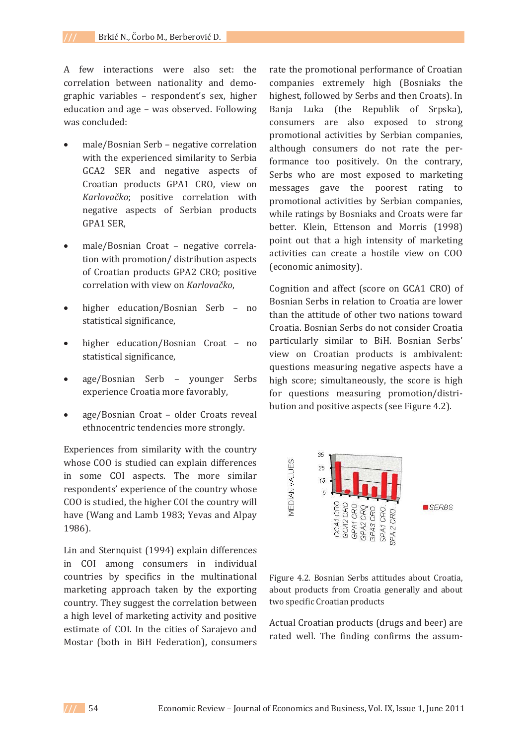A few interactions were also set: the correlation between nationality and demographic variables - respondent's sex, higher education and age - was observed. Following was concluded:

- male/Bosnian Serb negative correlation with the experienced similarity to Serbia GCA2 SER and negative aspects of Croatian products GPA1 CRO, view on *Karlovačko*; positive correlation with negative aspects of Serbian products GPA1 SER,
- male/Bosnian Croat negative correlation with promotion/distribution aspects of Croatian products GPA2 CRO; positive *korrelation* with view on Karlovačko,
- higher education/Bosnian Serb no statistical significance,
- higher education/Bosnian Croat no statistical significance,
- age/Bosnian Serb younger Serbs experience Croatia more favorably,
- age/Bosnian Croat older Croats reveal ethnocentric tendencies more strongly.

Experiences from similarity with the country whose COO is studied can explain differences in some COI aspects. The more similar respondents' experience of the country whose COO is studied, the higher COI the country will have (Wang and Lamb 1983; Yevas and Alpay 1986).

Lin and Sternquist (1994) explain differences in COI among consumers in individual countries by specifics in the multinational marketing approach taken by the exporting country. They suggest the correlation between a high level of marketing activity and positive estimate of COI. In the cities of Sarajevo and Mostar (both in BiH Federation), consumers

rate the promotional performance of Croatian companies extremely high (Bosniaks the highest, followed by Serbs and then Croats). In Banja Luka (the Republik of Srpska), consumers are also exposed to strong promotional activities by Serbian companies. although consumers do not rate the performance too positively. On the contrary, Serbs who are most exposed to marketing messages gave the poorest rating to promotional activities by Serbian companies, while ratings by Bosniaks and Croats were far better. Klein, Ettenson and Morris (1998) point out that a high intensity of marketing activities can create a hostile view on COO (economic animosity).

Cognition and affect (score on GCA1 CRO) of Bosnian Serbs in relation to Croatia are lower than the attitude of other two nations toward Croatia. Bosnian Serbs do not consider Croatia particularly similar to BiH. Bosnian Serbs' view on Croatian products is ambivalent: questions measuring negative aspects have a high score; simultaneously, the score is high for questions measuring promotion/distribution and positive aspects (see Figure 4.2).



Figure 4.2. Bosnian Serbs attitudes about Croatia, about products from Croatia generally and about two specific Croatian products

Actual Croatian products (drugs and beer) are rated well. The finding confirms the assum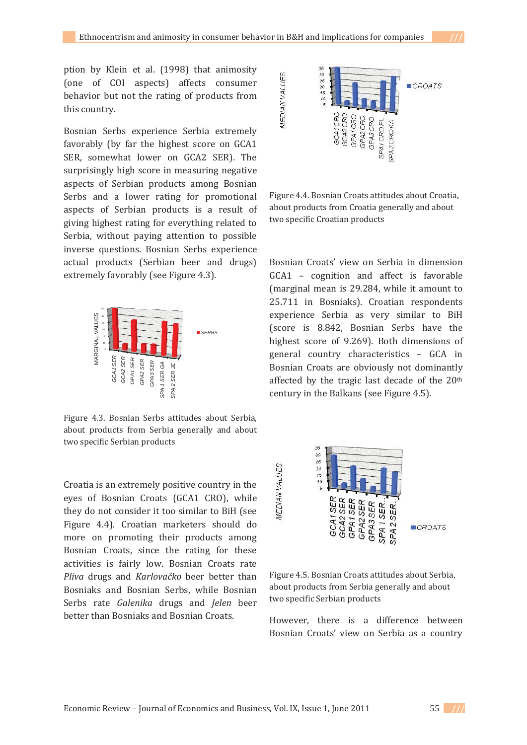ption by Klein et al. (1998) that animosity (one of COI aspects) affects consumer behavior but not the rating of products from this country.

Bosnian Serbs experience Serbia extremely favorably (by far the highest score on GCA1 SER, somewhat lower on GCA2 SER). The surprisingly high score in measuring negative aspects of Serbian products among Bosnian Serbs and a lower rating for promotional aspects of Serbian products is a result of giving highest rating for everything related to Serbia, without paying attention to possible inverse questions. Bosnian Serbs experience actual products (Serbian beer and drugs) extremely favorably (see Figure 4.3).



Figure 4.3. Bosnian Serbs attitudes about Serbia, about products from Serbia generally and about two specific Serbian products

Croatia is an extremely positive country in the eyes of Bosnian Croats (GCA1 CRO), while they do not consider it too similar to BiH (see Figure 4.4). Croatian marketers should do more on promoting their products among Bosnian Croats, since the rating for these activities is fairly low. Bosnian Croats rate *Pliva* drugs and *Karlovačko* beer better than Bosniaks and Bosnian Serbs, while Bosnian Serbs rate *Galenika* drugs and *Jelen* beer better than Bosniaks and Bosnian Croats.



Figure 4.4. Bosnian Croats attitudes about Croatia, about products from Croatia generally and about two specific Croatian products

Bosnian Croats' view on Serbia in dimension GCA1 - cognition and affect is favorable (marginal mean is 29.284, while it amount to 25.711 in Bosniaks). Croatian respondents experience Serbia as very similar to BiH (score is 8.842, Bosnian Serbs have the highest score of 9.269). Both dimensions of general country characteristics - GCA in Bosnian Croats are obviously not dominantly affected by the tragic last decade of the 20<sup>th</sup> century in the Balkans (see Figure 4.5).



Figure 4.5. Bosnian Croats attitudes about Serbia, about products from Serbia generally and about two specific Serbian products

However, there is a difference between Bosnian Croats' view on Serbia as a country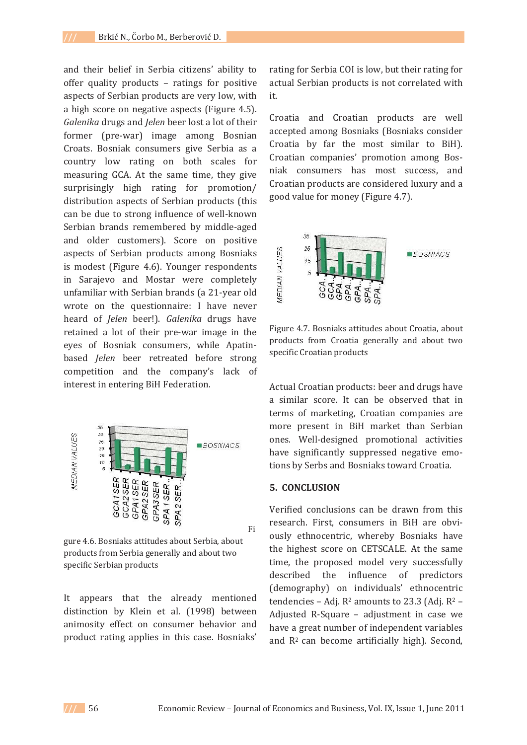and their belief in Serbia citizens' ability to offer quality products - ratings for positive aspects of Serbian products are very low, with a high score on negative aspects (Figure 4.5). *Galenika* drugs and *Jelen* beer lost a lot of their former (pre-war) image among Bosnian Croats. Bosniak consumers give Serbia as a country low rating on both scales for measuring GCA. At the same time, they give surprisingly high rating for promotion/ distribution aspects of Serbian products (this can be due to strong influence of well-known Serbian brands remembered by middle-aged and older customers). Score on positive aspects of Serbian products among Bosniaks is modest (Figure 4.6). Younger respondents in Sarajevo and Mostar were completely unfamiliar with Serbian brands (a 21-year old wrote on the questionnaire: I have never *heard of Jelen beer!*). *Galenika* drugs have retained a lot of their pre-war image in the eyes of Bosniak consumers, while Apatinbased *Jelen* beer retreated before strong competition and the company's lack of interest in entering BiH Federation.



gure 4.6. Bosniaks attitudes about Serbia, about products from Serbia generally and about two specific Serbian products

It appears that the already mentioned distinction by Klein et al. (1998) between animosity effect on consumer behavior and product rating applies in this case. Bosniaks' rating for Serbia COI is low, but their rating for actual Serbian products is not correlated with it.

Croatia and Croatian products are well accepted among Bosniaks (Bosniaks consider Croatia by far the most similar to BiH). Croatian companies' promotion among Bosniak consumers has most success, and Croatian products are considered luxury and a good value for money (Figure 4.7).



Figure 4.7. Bosniaks attitudes about Croatia, about products from Croatia generally and about two specific Croatian products

Actual Croatian products: beer and drugs have a similar score. It can be observed that in terms of marketing, Croatian companies are more present in BiH market than Serbian ones. Well-designed promotional activities have significantly suppressed negative emotions by Serbs and Bosniaks toward Croatia.

#### **5.CONCLUSION**

Verified conclusions can be drawn from this research. First, consumers in BiH are obviously ethnocentric, whereby Bosniaks have the highest score on CETSCALE. At the same time, the proposed model very successfully described the influence of predictors (demography) on individuals' ethnocentric tendencies – Adj.  $R^2$  amounts to 23.3 (Adj.  $R^2$  – Adjusted R-Square - adjustment in case we have a great number of independent variables and R<sup>2</sup> can become artificially high). Second,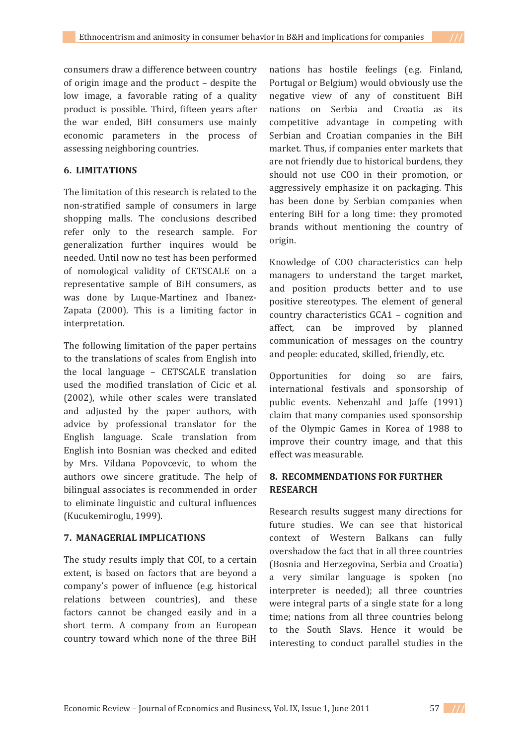consumers draw a difference between country of origin image and the product - despite the low image, a favorable rating of a quality product is possible. Third, fifteen years after the war ended, BiH consumers use mainly economic parameters in the process of assessing neighboring countries.

## **6.LIMITATIONS**

The limitation of this research is related to the non-stratified sample of consumers in large shopping malls. The conclusions described refer only to the research sample. For generalization further inquires would be needed. Until now no test has been performed of nomological validity of CETSCALE on a representative sample of BiH consumers, as was done by Luque-Martinez and Ibanez-Zapata (2000). This is a limiting factor in interpretation.

The following limitation of the paper pertains to the translations of scales from English into the local language - CETSCALE translation used the modified translation of Cicic et al. (2002), while other scales were translated and adjusted by the paper authors, with advice by professional translator for the English language. Scale translation from English into Bosnian was checked and edited by Mrs. Vildana Popovcevic, to whom the authors owe sincere gratitude. The help of bilingual associates is recommended in order to eliminate linguistic and cultural influences (Kucukemiroglu, 1999).

## **7.MANAGERIAL IMPLICATIONS**

The study results imply that COI, to a certain extent, is based on factors that are beyond a company's power of influence (e.g. historical relations between countries), and these factors cannot be changed easily and in a short term. A company from an European country toward which none of the three BiH

nations has hostile feelings (e.g. Finland, Portugal or Belgium) would obviously use the negative view of any of constituent BiH nations on Serbia and Croatia as its competitive advantage in competing with Serbian and Croatian companies in the BiH market. Thus, if companies enter markets that are not friendly due to historical burdens, they should not use COO in their promotion, or aggressively emphasize it on packaging. This has been done by Serbian companies when entering BiH for a long time: they promoted brands without mentioning the country of origin.

Knowledge of COO characteristics can help managers to understand the target market, and position products better and to use positive stereotypes. The element of general country characteristics GCA1 - cognition and affect, can be improved by planned communication of messages on the country and people: educated, skilled, friendly, etc.

Opportunities for doing so are fairs, international festivals and sponsorship of public events. Nebenzahl and Jaffe (1991) claim that many companies used sponsorship of the Olympic Games in Korea of 1988 to improve their country image, and that this effect was measurable.

# **8.RECOMMENDATIONS FOR FURTHER RESEARCH**

Research results suggest many directions for future studies. We can see that historical context of Western Balkans can fully overshadow the fact that in all three countries (Bosnia and Herzegovina, Serbia and Croatia) a very similar language is spoken (no interpreter is needed); all three countries were integral parts of a single state for a long time: nations from all three countries belong to the South Slavs. Hence it would be interesting to conduct parallel studies in the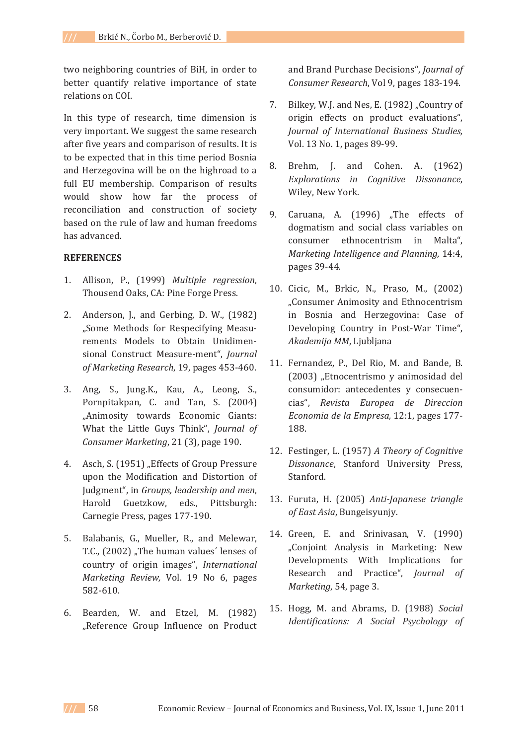two neighboring countries of BiH, in order to better quantify relative importance of state relations on COL

In this type of research, time dimension is very important. We suggest the same research after five years and comparison of results. It is to be expected that in this time period Bosnia and Herzegovina will be on the highroad to a full EU membership. Comparison of results would show how far the process of reconciliation and construction of society based on the rule of law and human freedoms has advanced.

### **REFERENCES**

- 1. Allison, P., (1999) Multiple regression, Thousend Oaks, CA: Pine Forge Press.
- 2. Anderson, J., and Gerbing, D. W., (1982) "Some Methods for Respecifying Measurements Models to Obtain Unidimensional Construct Measure-ment", Journal *of Marketing Research*, 19, pages 453-460.
- 3. Ang, S., Jung.K., Kau, A., Leong, S., Pornpitakpan, C. and Tan, S. (2004) "Animosity towards Economic Giants: What the Little Guys Think", Journal of *Consumer Marketing*, 21 (3), page 190.
- 4. Asch, S. (1951) "Effects of Group Pressure upon the Modification and Distortion of Judgment", in *Groups*, *leadership* and *men*, Harold Guetzkow, eds., Pittsburgh: Carnegie Press, pages 177-190.
- 5. Balabanis, G., Mueller, R., and Melewar, **T.C., (2002)** "The human values' lenses of country of origin images", International *Marketing Review, Vol. 19 No 6, pages*  $582 - 610.$
- 6. Bearden, W. and Etzel, M. (1982) "Reference Group Influence on Product

and Brand Purchase Decisions", Journal of *Consumer Research*, Vol 9, pages 183-194.

- 7. Bilkey, W.J. and Nes, E. (1982) "Country of origin effects on product evaluations", *Journal of International Business Studies,* Vol. 13 No. 1, pages 89-99.
- 8. Brehm. I. and Cohen. A. (1962) *Explorations in Cognitive Dissonance*, Wiley, New York.
- 9. Caruana, A. (1996) "The effects of dogmatism and social class variables on consumer ethnocentrism in Malta". *Marketing Intelligence and Planning, 14:4,* pages 39-44.
- 10. Cicic, M., Brkic, N., Praso, M., (2002) "Consumer Animosity and Ethnocentrism in Bosnia and Herzegovina: Case of Developing Country in Post-War Time", *Akademija MM*ǡ
- 11. Fernandez, P., Del Rio, M. and Bande, B. (2003) "Etnocentrismo y animosidad del consumidor: antecedentes y consecuen-Dzǡ *Revista Europea de Direccion Economia de la Empresa,* 12:1, pages 177-188.
- 12. Festinger, L. (1957) A Theory of Cognitive *Dissonance*, Stanford University Press, Stanford.
- 13. Furuta, H. (2005) Anti-Japanese triangle  $of$  *East Asia*, Bungeisyunjy.
- 14. Green, E. and Srinivasan, V. (1990) "Conjoint Analysis in Marketing: New Developments With Implications for Research and Practice", Journal of *Marketing*, 54, page 3.
- 15. Hogg, M. and Abrams, D. (1988) Social *Identifications: A Social Psychology of*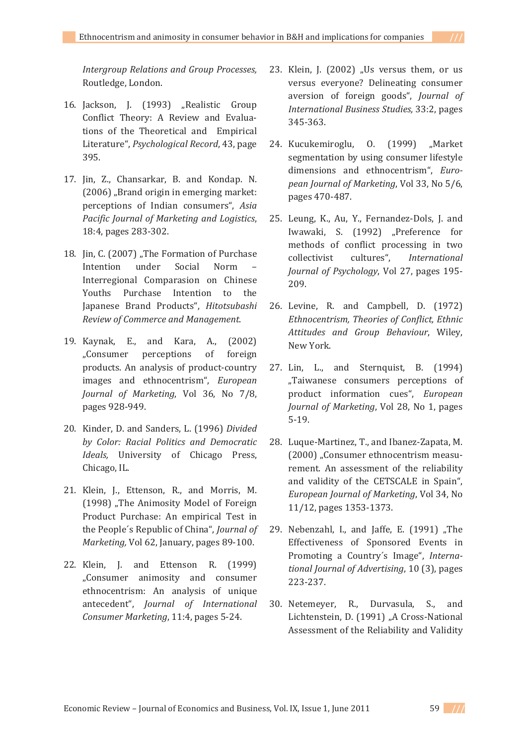*Intergroup Relations and Group Processes,* Routledge, London.

- 16. Jackson, J. (1993) "Realistic Group Conflict Theory: A Review and Evaluations of the Theoretical and Empirical Literature", Psychological Record, 43, page 395.
- 17. Jin, Z., Chansarkar, B. and Kondap. N. (2006) "Brand origin in emerging market: perceptions of Indian consumers", Asia *Pacific Journal of Marketing and Logistics*, 18:4, pages 283-302.
- 18. Jin, C. (2007) "The Formation of Purchase Intention under Social Norm Interregional Comparasion on Chinese Youths Purchase Intention to the Japanese Brand Products". Hitotsubashi *Review of Commerce and Management.*
- 19. Kaynak, E., and Kara, A., (2002) "Consumer perceptions of foreign products. An analysis of product-country images and ethnocentrism", European *Journal of Marketing*, Vol 36, No 7/8, pages 928-949.
- 20. Kinder, D. and Sanders, L. (1996) Divided *by Color: Racial Politics and Democratic Ideals*, University of Chicago Press, Chicago, IL.
- 21. Klein, J., Ettenson, R., and Morris, M. (1998) "The Animosity Model of Foreign Product Purchase: An empirical Test in the People's Republic of China", *Journal of Marketing, Vol 62, January, pages 89-100.*
- 22. Klein, J. and Ettenson R. (1999) "Consumer animosity and consumer ethnocentrism: An analysis of unique antecedent", *Journal of International Consumer Marketing*, 11:4, pages 5-24.
- 23. Klein, J. (2002) "Us versus them, or us versus everyone? Delineating consumer aversion of foreign goods", *Journal of International Business Studies, 33:2, pages*  $345 - 363$ .
- 24. Kucukemiroglu, 0. (1999) "Market segmentation by using consumer lifestyle dimensions and ethnocentrism", Euro*pean Journal of Marketing*, Vol 33, No 5/6, pages 470-487.
- 25. Leung, K., Au, Y., Fernandez-Dols, J. and Iwawaki, S. (1992) "Preference for methods of conflict processing in two collectivist cultures". International *Journal of Psychology*, Vol 27, pages 195-209.
- 26. Levine, R. and Campbell, D. (1972) *Ethnocentrism, Theories of Conflict, Ethnic Attitudes* and *Group Behaviour*, Wiley, New York.
- 27. Lin, L., and Sternquist, B. (1994) "Taiwanese consumers perceptions of product information cues", European *Journal of Marketing*, Vol 28, No 1, pages  $5-19.$
- 28. Luque-Martinez, T., and Ibanez-Zapata, M. (2000) "Consumer ethnocentrism measurement. An assessment of the reliability and validity of the CETSCALE in Spain". *European Journal of Marketing*, Vol 34, No 11/12, pages 1353-1373.
- 29. Nebenzahl, I., and Jaffe, E. (1991) "The Effectiveness of Sponsored Events in Promoting a Country's Image", Interna*tional <i>Journal of Advertising*, 10 (3), pages 223-237.
- 30. Netemeyer, R., Durvasula, S., and Lichtenstein, D. (1991) "A Cross-National Assessment of the Reliability and Validity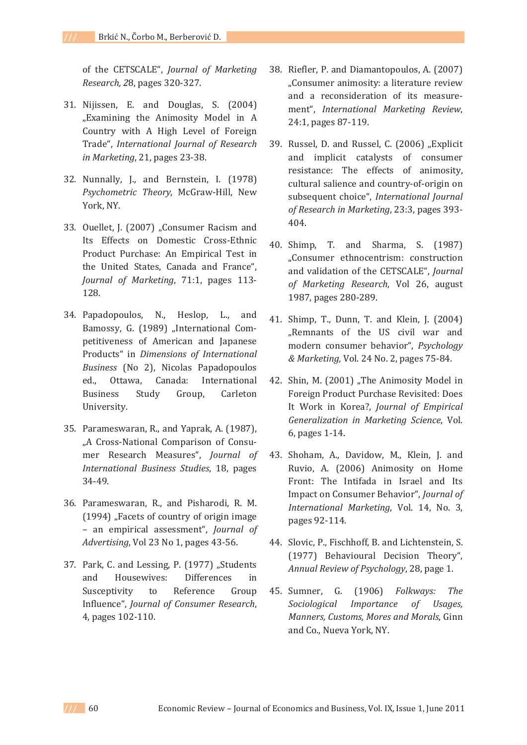of the CETSCALE", *Journal of Marketing Research, 28, pages 320-327.* 

- 31. Nijissen, E. and Douglas, S. (2004) "Examining the Animosity Model in A Country with A High Level of Foreign Dzǡ *International Journal of Research in Marketing*, 21, pages 23-38.
- 32. Nunnally, J., and Bernstein, I. (1978) Psychometric Theory, McGraw-Hill, New York, NY.
- 33. Ouellet, J. (2007) "Consumer Racism and Its Effects on Domestic Cross-Ethnic Product Purchase: An Empirical Test in the United States, Canada and France", *Journal of Marketing*, 71:1, pages 113-128.
- 34. Papadopoulos, N., Heslop, L., and Bamossy, G. (1989) "International Competitiveness of American and Japanese Products" in *Dimensions* of *International Business* (No 2), Nicolas Papadopoulos ed., Ottawa, Canada: International Business Study Group, Carleton University.
- 35. Parameswaran, R., and Yaprak, A. (1987), "A Cross-National Comparison of Consumer Research Measures", Journal of *International Business Studies*, 18, pages 34-49.
- 36. Parameswaran, R., and Pisharodi, R. M. (1994) "Facets of country of origin image - an empirical assessment", *Journal of Advertising*, Vol 23 No 1, pages 43-56.
- 37. Park, C. and Lessing, P. (1977) "Students and Housewives: Differences in Susceptivity to Reference Group Influence", *Journal of Consumer Research*, 4, pages 102-110.
- 38. Riefler, P. and Diamantopoulos, A. (2007) "Consumer animosity: a literature review and a reconsideration of its measurement". International Marketing Review, 24:1, pages 87-119.
- 39. Russel, D. and Russel, C. (2006) "Explicit and implicit catalysts of consumer resistance: The effects of animosity, cultural salience and country-of-origin on subsequent choice", *International Journal of* Research in Marketing, 23:3, pages 393-404.
- 40. Shimp, T. and Sharma, S. (1987) "Consumer ethnocentrism: construction and validation of the CETSCALE", Journal *of Marketing Research*, Vol 26, august 1987, pages 280-289.
- 41. Shimp, T., Dunn, T. and Klein, J. (2004) "Remnants of the US civil war and modern consumer behavior", *Psychology & Marketing*, Vol. 24 No. 2, pages 75-84.
- 42. Shin, M. (2001) "The Animosity Model in Foreign Product Purchase Revisited: Does  ǫǡ *Journal of Empirical Generalization in Marketing Science*, Vol. 6, pages 1-14.
- 43. Shoham, A., Davidow, M., Klein, J. and Ruvio, A. (2006) Animosity on Home Front: The Intifada in Israel and Its Impact on Consumer Behavior", Journal of *International Marketing*, Vol. 14, No. 3, pages 92-114.
- 44. Slovic, P., Fischhoff, B. and Lichtenstein, S. (1977) Behavioural Decision Theory", *Annual Review of Psychology*, 28, page 1.
- 45. Sumner. G. Ǥ ȋͳͻͲȌ *Folkways: The Sociological Importance of Usages, Manners, Customs, Mores and Morals, Ginn* and Co., Nueva York, NY.